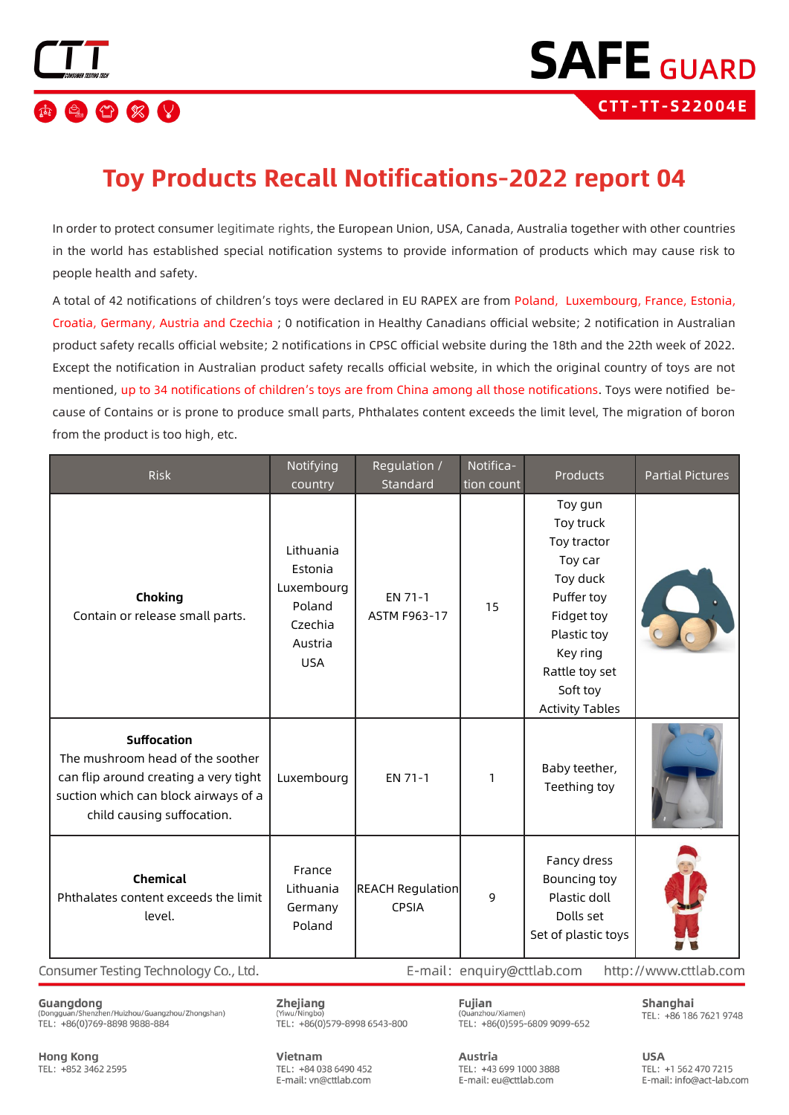

### **Toy Products Recall Notifications-2022 report 04**

In order to protect consumer legitimate rights, the European Union, USA, Canada, Australia together with other countries in the world has established special notification systems to provide information of products which may cause risk to people health and safety.

A total of 42 notifications of children's toys were declared in EU RAPEX are from Poland. Luxembourg, France, Estonia, Croatia, Germany, Austria and Czechia; 0 notification in Healthy Canadians official website; 2 notification in Australian product safety recalls official website: 2 notifications in CPSC official website during the 18th and the 22th week of 2022. Except the notification in Australian product safety recalls official website, in which the original country of toys are not mentioned, up to 34 notifications of children's toys are from China among all those notifications. Toys were notified because of Contains or is prone to produce small parts, Phthalates content exceeds the limit level, The migration of boron from the product is too high, etc.

| <b>Risk</b>                                                                                                                                                           | Notifying<br>country                                                             | Regulation /<br>Standard                | Notifica-<br>tion count | Products                                                                                                                                                                  | <b>Partial Pictures</b> |
|-----------------------------------------------------------------------------------------------------------------------------------------------------------------------|----------------------------------------------------------------------------------|-----------------------------------------|-------------------------|---------------------------------------------------------------------------------------------------------------------------------------------------------------------------|-------------------------|
| Choking<br>Contain or release small parts.                                                                                                                            | Lithuania<br>Estonia<br>Luxembourg<br>Poland<br>Czechia<br>Austria<br><b>USA</b> | EN 71-1<br>ASTM F963-17                 | 15                      | Toy gun<br>Toy truck<br>Toy tractor<br>Toy car<br>Toy duck<br>Puffer toy<br>Fidget toy<br>Plastic toy<br>Key ring<br>Rattle toy set<br>Soft toy<br><b>Activity Tables</b> |                         |
| <b>Suffocation</b><br>The mushroom head of the soother<br>can flip around creating a very tight<br>suction which can block airways of a<br>child causing suffocation. | Luxembourg                                                                       | EN 71-1                                 | 1                       | Baby teether,<br>Teething toy                                                                                                                                             |                         |
| <b>Chemical</b><br>Phthalates content exceeds the limit<br>level.                                                                                                     | France<br>Lithuania<br>Germany<br>Poland                                         | <b>REACH Regulation</b><br><b>CPSIA</b> | 9                       | Fancy dress<br>Bouncing toy<br>Plastic doll<br>Dolls set<br>Set of plastic toys                                                                                           |                         |

Consumer Testing Technology Co., Ltd.

Zhejiang (Yiwu/Ningbo

E-mail: enquiry@cttlab.com http://www.cttlab.com

Guangdong (Dongguan/Shenzhen/Huizhou/Guangzhou/Zhongshan) TEL: +86(0)769-8898 9888-884

TEL: +86(0)579-8998 6543-800

Fujian (Ouanzhou/Xiamen) TEL: +86(0)595-6809 9099-652 Shanghai TEL: +86 186 7621 9748

**Hong Kong** TEL: +852 3462 2595 Vietnam TFL: +84 038 6490 452 E-mail: vn@cttlab.com

Austria TEL: +43 699 1000 3888 E-mail: eu@cttlab.com

**USA** TFI: +1 562 470 7215 E-mail: info@act-lab.com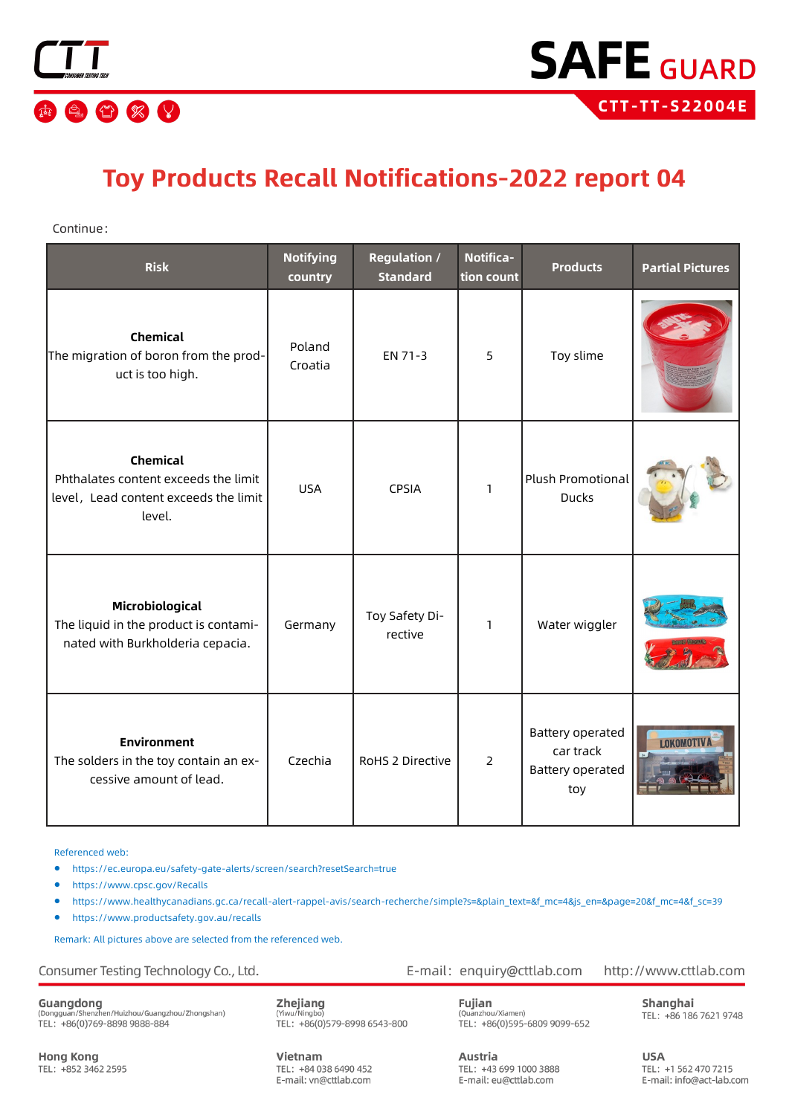

## **Toy Products Recall Notifications-2022 report 04**

Continue:

| <b>Risk</b>                                                                                                | <b>Notifying</b><br>country | <b>Regulation /</b><br><b>Standard</b> | <b>Notifica-</b><br>tion count | <b>Products</b>                                                 | <b>Partial Pictures</b> |
|------------------------------------------------------------------------------------------------------------|-----------------------------|----------------------------------------|--------------------------------|-----------------------------------------------------------------|-------------------------|
| <b>Chemical</b><br>The migration of boron from the prod-<br>uct is too high.                               | Poland<br>Croatia           | EN 71-3                                | 5                              | Toy slime                                                       |                         |
| <b>Chemical</b><br>Phthalates content exceeds the limit<br>level, Lead content exceeds the limit<br>level. | <b>USA</b>                  | <b>CPSIA</b>                           | 1                              | Plush Promotional<br><b>Ducks</b>                               |                         |
| Microbiological<br>The liquid in the product is contami-<br>nated with Burkholderia cepacia.               | Germany                     | Toy Safety Di-<br>rective              | 1                              | Water wiggler                                                   |                         |
| <b>Environment</b><br>The solders in the toy contain an ex-<br>cessive amount of lead.                     | Czechia                     | RoHS 2 Directive                       | $\overline{2}$                 | <b>Battery operated</b><br>car track<br>Battery operated<br>toy | <b>T.OKOMOTIV</b>       |

Referenced web:

- https://ec.europa.eu/safety-gate-alerts/screen/search?resetSearch=true
- https://www.cpsc.gov/Recalls
- https://www.healthycanadians.gc.ca/recall-alert-rappel-avis/search-[recherche/simple?s=&plain\\_text=&f\\_mc=4&js\\_en=&page=20&f\\_mc=4&f\\_sc=39](http://www.healthycanadians.gc.ca/recall-alert-rappel-avis/search-recherche/simple?s=&plain_text=&f_mc=4&js_en=&page=20&f_mc=4&f_sc=39)
- [https://www.productsafety.gov.au/recalls](http://www.productsafety.gov.au/recalls)

Remark: All pictures above are selected from the referenced web.

Consumer Testing Technology Co., Ltd.

Guangdong<br>(Dongguan/Shenzhen/Huizhou/Guangzhou/Zhongshan)<br>TEL: +86(0)769-8898 9888-884

Zhejiang (Yiwu/Ningbo)<br>TEL: +86(0)579-8998 6543-800

Fujian (Quanzhou/Xiamen)<br>TEL: +86(0)595-6809 9099-652

E-mail: enquiry@cttlab.com

http://www.cttlab.com

Shanghai TEL: +86 186 7621 9748

**Hong Kong** TEL: +852 3462 2595 Vietnam TFL: +84 038 6490 452 E-mail: vn@cttlab.com

Austria TEL: +43 699 1000 3888 E-mail: eu@cttlab.com

**USA** TEL: +1 562 470 7215 E-mail: info@act-lab.com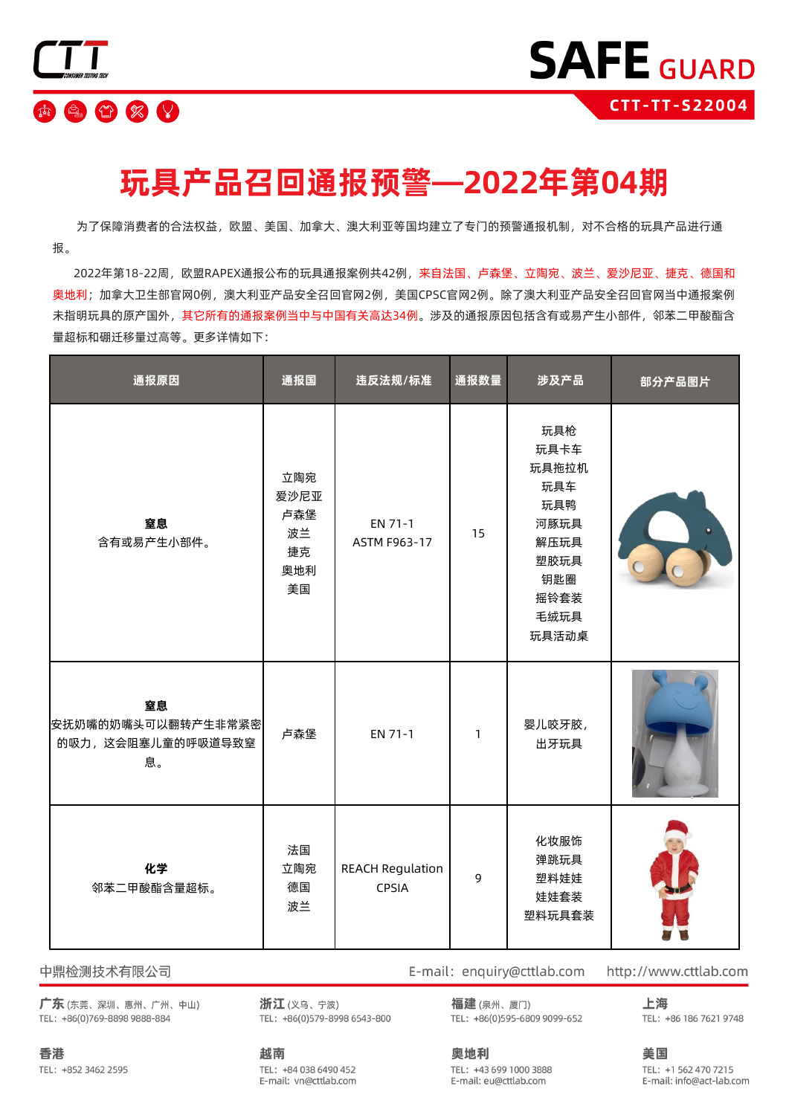

## **玩具产品召回通报预警—2022年第04期**

 为了保障消费者的合法权益,欧盟、美国、加拿大、澳大利亚等国均建立了专门的预警通报机制,对不合格的玩具产品进行通 报。

 2022年第18-22周,欧盟RAPEX通报公布的玩具通报案例共42例,来自法国、卢森堡、立陶宛、波兰、爱沙尼亚、捷克、德国和 奥地利;加拿大卫生部官网0例,澳大利亚产品安全召回官网2例,美国CPSC官网2例。除了澳大利亚产品安全召回官网当中通报案例 未指明玩具的原产国外,其它所有的通报案例当中与中国有关高达34例。涉及的通报原因包括含有或易产生小部件,邻苯二甲酸酯含 量超标和硼迁移量过高等。更多详情如下:

| 通报原因                                                | 通报国                                         | 违反法规/标准                          | 通报数量         | 涉及产品                                                                                       | 部分产品图片 |
|-----------------------------------------------------|---------------------------------------------|----------------------------------|--------------|--------------------------------------------------------------------------------------------|--------|
| 窒息<br>含有或易产生小部件。                                    | 立陶宛<br>爱沙尼亚<br>卢森堡<br>波兰<br>捷克<br>奥地利<br>美国 | EN 71-1<br><b>ASTM F963-17</b>   | 15           | 玩具枪<br>玩具卡车<br>玩具拖拉机<br>玩具车<br>玩具鸭<br>河豚玩具<br>解压玩具<br>塑胶玩具<br>钥匙圈<br>摇铃套装<br>毛绒玩具<br>玩具活动桌 |        |
| 窒息<br>安抚奶嘴的奶嘴头可以翻转产生非常紧密<br>的吸力,这会阻塞儿童的呼吸道导致窒<br>息。 | 卢森堡                                         | EN 71-1                          | $\mathbf{1}$ | 婴儿咬牙胶,<br>出牙玩具                                                                             |        |
| 化学<br>邻苯二甲酸酯含量超标。                                   | 法国<br>立陶宛<br>德国<br>波兰                       | <b>REACH Regulation</b><br>CPSIA | 9            | 化妆服饰<br>弹跳玩具<br>塑料娃娃<br>娃娃套装<br>塑料玩具套装                                                     |        |

中鼎检测技术有限公司

广东(东莞、深圳、惠州、广州、中山) TEL: +86(0)769-8898 9888-884

浙江(义乌、宁波) TEL: +86(0)579-8998 6543-800 福建(泉州、厦门)

TEL: +86(0)595-6809 9099-652

E-mail: enquiry@cttlab.com

上海

TEL: +1 562 470 7215

E-mail: info@act-lab.com

http://www.cttlab.com

美国

TEL: +86 186 7621 9748

TEL: +852 3462 2595

香港

越南 TEL: +84 038 6490 452 E-mail: vn@cttlab.com

奥地利 TEL: +43 699 1000 3888 E-mail: eu@cttlab.com